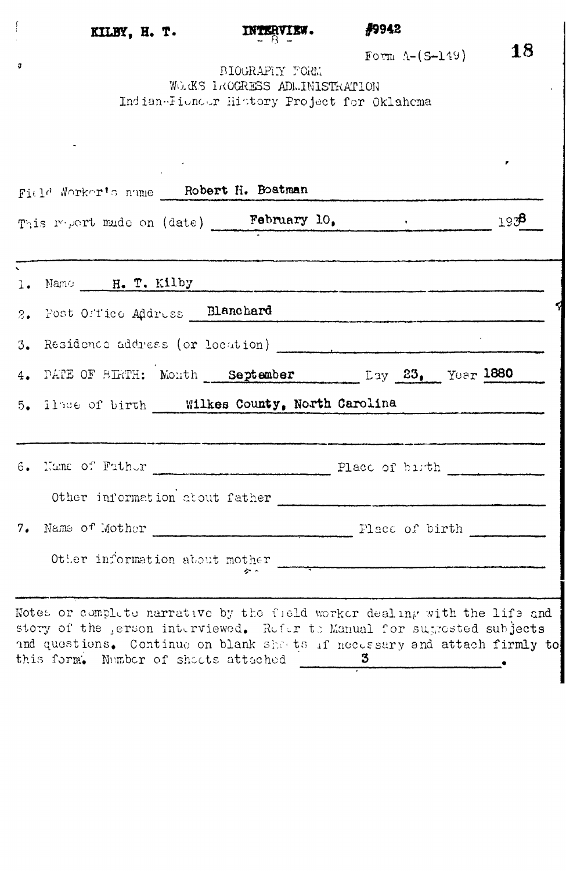$\frac{1}{2}$ 

 $\sigma$ 

## **KHBY, H. T. INTERVIEW. #9942**

 $\sum_{r=1}^{\infty}$  **18** 

 $F_{\text{OCH}}$   $\mathcal{F}_{\text{C}}$ (2–1755) BIOGRAPHY FORM:<br>WOGKS LAOGRESS ADMINISTRATION WO.G. 1KOGRESS ADMINISTRATION Indian-Fioncer History Project for Oklahoma<br>  $\frac{1}{2}$ 

|                          | This report made on (date) February 10. (a) 1938                                                                                                                                                                                                                                |  |
|--------------------------|---------------------------------------------------------------------------------------------------------------------------------------------------------------------------------------------------------------------------------------------------------------------------------|--|
| $\overline{\phantom{0}}$ | ta a shi a mara a shekarar 2001 a shekarar ta kasa da re wasa ta kasa ma mara wasan kasa matu wasa wasan kasa<br>1. Name H. T. Kilby                                                                                                                                            |  |
|                          | 2. Post Office Address Blanchard                                                                                                                                                                                                                                                |  |
|                          | 3. Residence address (or location) [100] [100] [100] [100] [100] [100] [100] [100] [100] [100] [100] [100] [100] [100] [100] [100] [100] [100] [100] [100] [100] [100] [100] [100] [100] [100] [100] [100] [100] [100] [100] [                                                  |  |
|                          | 4. PATE OF BIRTH: Month September Lay 23. Year 1880                                                                                                                                                                                                                             |  |
|                          | 5. Ilnee of birth ____ Wilkes County, North Carolina                                                                                                                                                                                                                            |  |
|                          |                                                                                                                                                                                                                                                                                 |  |
|                          | Other information about father                                                                                                                                                                                                                                                  |  |
|                          |                                                                                                                                                                                                                                                                                 |  |
|                          | Other information about mother                                                                                                                                                                                                                                                  |  |
|                          | .<br>Alimpia tatkarko kapatutar (h. 1914).<br>Notes or complete narrative by the field worker dealing with the life and<br>story of the gerson interviewed. Refer to Manual for sugrested subjects<br>and questions. Continue on blank shouts if necessary and attach firmly to |  |

this form. Number of sheets attached 3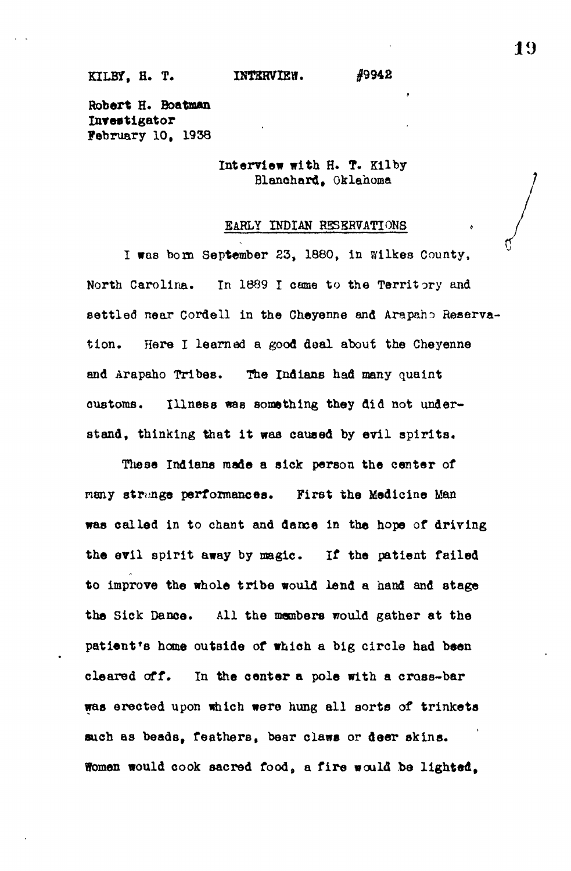## KILBY, H. T. **INTERVIEW.** #9942

**Robert R. Boatman Investigator** February 10, 1938

> **Interview with** H. T. Kilby Blanehard, Oklahoma

**i**

## EARLY INDIAN RESERVATIONS

**I was born September 23, 1880, in Wilkes County, North Carolina. In 1889 I came to the Territory and settled near Cordell in the Cheyenne and Arapaho Reservation. Here I learned a good deal about the Cheyenne and Arapaho Tribes. The Indians had many quaint customs. Illness was something they did not understand, thinking that it waa caused by evil spirits.**

**These Indiana made a sick person the center of nany strange performances. First the Medicine Man was called in to chant and dance in the hope of driving the evil spirit away by magic. If the patient failed to improve the whole tribe would lend a hand and stage the Sick Dance. All the members would gather at the patient's home outside of which a big circle had been cleared off. In the center a pole with a cross-bar was erected upon which were hung all sorts of trinkets such as beads, feathers, bear claws or deer skins. Women would cook sacred food, a fire would be lighted.**

**10**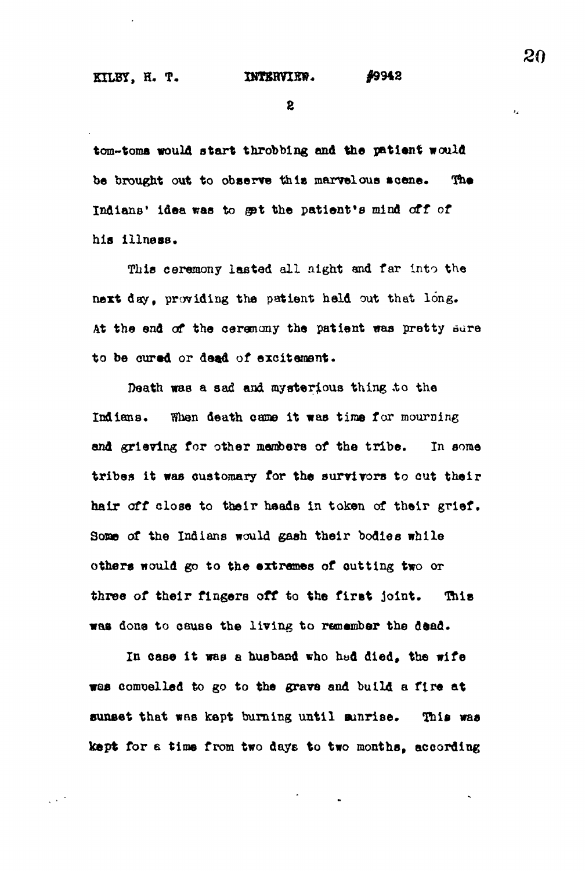$\mathbf{2}$ 

tom-toms would start throbbing and the patient would **be brought out to observe this marvelous scene . The** Indians' idea was to get the patient's mind off of **his Ulna as.**

**This ceremony laatad all night and far Into the next day, providing the patient held out that long. At the end of the ceremony the patient was pretty oare to be cured or dead of excitement.**

**Death waa a 8ad and mysterious thing ,to the** Indians. When death came it was time for mourning **and grieving for other members of the tribe. In some tribes it was customary for the survivors to cut their hair off close to their heads in token of their grief. Some of the Indians would gash their bodies while others would go to the extremes of cutting two or** three of their fingers off to the first joint. This **was done to cause the living to remember the dead.**

**In case it was a husband who had died, the wife was compelled to go to the grave and build a fire at** sunset that was kept burning until sunrise. This was **kept for a time from two days to two months, according** **20**

 $\mathbf{r}_2$